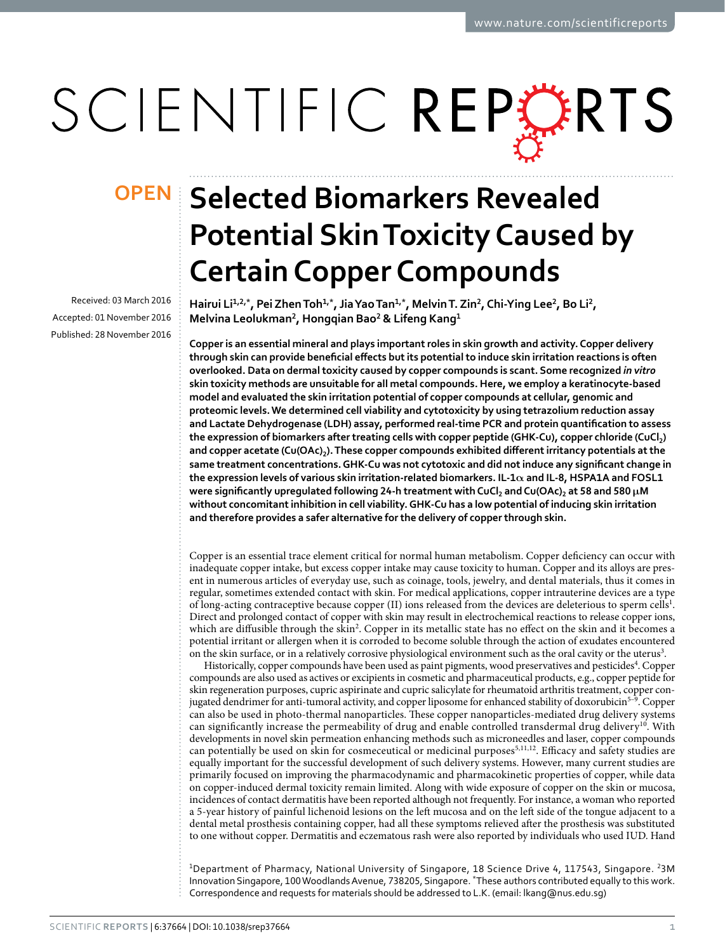# SCIENTIFIC REPERTS

Received: 03 March 2016 accepted: 01 November 2016 Published: 28 November 2016

## **OPEN** Selected Biomarkers Revealed **Potential Skin Toxicity Caused by Certain Copper Compounds**

**Hairui Li<sup>1</sup>,2,\*, PeiZhenToh1,\*, JiaYaoTan1,\*, MelvinT. Zin<sup>2</sup>, Chi-Ying Lee<sup>2</sup>, Bo Li<sup>2</sup>, Melvina Leolukman<sup>2</sup>, Hongqian Bao<sup>2</sup> & Lifeng Kang<sup>1</sup>**

**Copper is an essential mineral and plays important roles in skin growth and activity. Copper delivery through skin can provide beneficial effects but its potential to induce skin irritation reactions is often overlooked. Data on dermal toxicity caused by copper compounds is scant. Some recognized** *in vitro* **skin toxicity methods are unsuitable for all metal compounds. Here, we employ a keratinocyte-based model and evaluated the skin irritation potential of copper compounds at cellular, genomic and proteomic levels. We determined cell viability and cytotoxicity by using tetrazolium reduction assay and Lactate Dehydrogenase (LDH) assay, performed real-time PCR and protein quantification to assess the expression of biomarkers after treating cells with copper peptide (GHK-Cu), copper chloride (CuCl2) and copper acetate (Cu(OAc)2). These copper compounds exhibited different irritancy potentials at the same treatment concentrations. GHK-Cu was not cytotoxic and did not induce any significant change in the expression levels of various skin irritation-related biomarkers. IL-1α and IL-8, HSPA1A and FOSL1 were significantly upregulated following 24-h treatment with CuCl2 and Cu(OAc)2 at 58 and 580 μM without concomitant inhibition in cell viability. GHK-Cu has a low potential of inducing skin irritation and therefore provides a safer alternative for the delivery of copper through skin.**

Copper is an essential trace element critical for normal human metabolism. Copper deficiency can occur with inadequate copper intake, but excess copper intake may cause toxicity to human. Copper and its alloys are present in numerous articles of everyday use, such as coinage, tools, jewelry, and dental materials, thus it comes in regular, sometimes extended contact with skin. For medical applications, copper intrauterine devices are a type of long-acting contraceptive because copper (II) ions released from the devices are deleterious to sperm cells<sup>[1](#page-9-0)</sup>. Direct and prolonged contact of copper with skin may result in electrochemical reactions to release copper ions, which are diffusible through the skin<sup>[2](#page-9-1)</sup>. Copper in its metallic state has no effect on the skin and it becomes a potential irritant or allergen when it is corroded to become soluble through the action of exudates encountered on the skin surface, or in a relatively corrosive physiological environment such as the oral cavity or the uterus<sup>[3](#page-9-2)</sup>.

Historically, copper compounds have been used as paint pigments, wood preservatives and pesticides<sup>4</sup>. Copper compounds are also used as actives or excipients in cosmetic and pharmaceutical products, e.g., copper peptide for skin regeneration purposes, cupric aspirinate and cupric salicylate for rheumatoid arthritis treatment, copper con-jugated dendrimer for anti-tumoral activity, and copper liposome for enhanced stability of doxorubicin<sup>[5–9](#page-9-4)</sup>. Copper can also be used in photo-thermal nanoparticles. These copper nanoparticles-mediated drug delivery systems can significantly increase the permeability of drug and enable controlled transdermal drug delivery<sup>[10](#page-9-5)</sup>. With developments in novel skin permeation enhancing methods such as microneedles and laser, copper compounds can potentially be used on skin for cosmeceutical or medicinal purposes<sup>5[,11](#page-9-6),[12](#page-9-7)</sup>. Efficacy and safety studies are equally important for the successful development of such delivery systems. However, many current studies are primarily focused on improving the pharmacodynamic and pharmacokinetic properties of copper, while data on copper-induced dermal toxicity remain limited. Along with wide exposure of copper on the skin or mucosa, incidences of contact dermatitis have been reported although not frequently. For instance, a woman who reported a 5-year history of painful lichenoid lesions on the left mucosa and on the left side of the tongue adjacent to a dental metal prosthesis containing copper, had all these symptoms relieved after the prosthesis was substituted to one without copper. Dermatitis and eczematous rash were also reported by individuals who used IUD. Hand

<sup>1</sup>Department of Pharmacy, National University of Singapore, 18 Science Drive 4, 117543, Singapore. <sup>2</sup>3M Innovation Singapore, 100 Woodlands Avenue, 738205, Singapore. \*These authors contributed equally to this work. Correspondence and requests for materials should be addressed to L.K. (email: [lkang@nus.edu.sg\)](mailto:lkang@nus.edu.sg)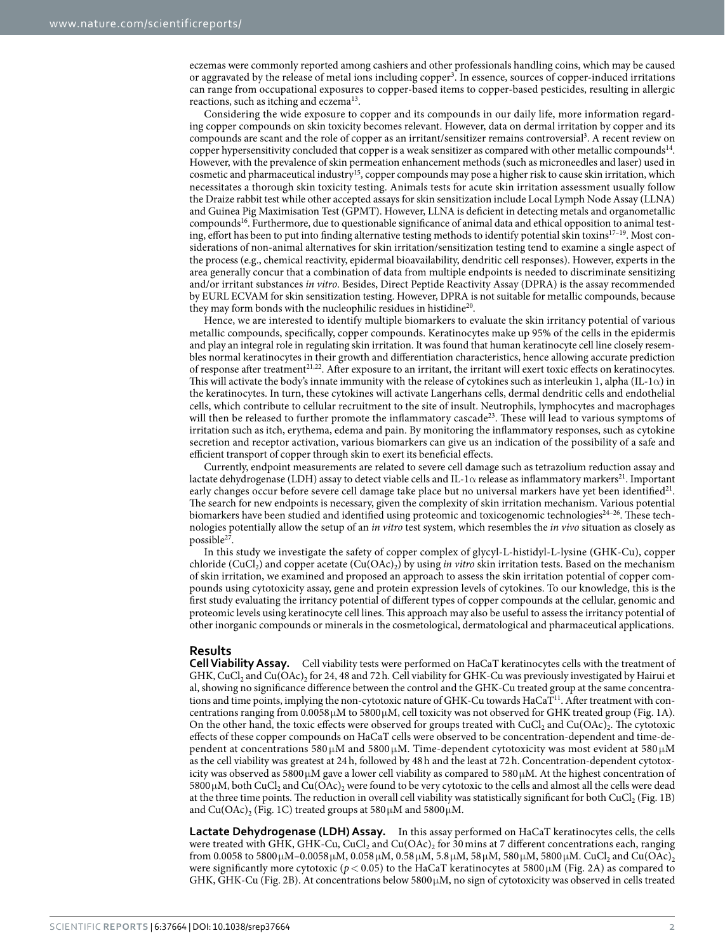eczemas were commonly reported among cashiers and other professionals handling coins, which may be caused or aggravated by the release of metal ions including copper<sup>3</sup>. In essence, sources of copper-induced irritations can range from occupational exposures to copper-based items to copper-based pesticides, resulting in allergic reactions, such as itching and eczema<sup>[13](#page-9-8)</sup>.

Considering the wide exposure to copper and its compounds in our daily life, more information regarding copper compounds on skin toxicity becomes relevant. However, data on dermal irritation by copper and its compounds are scant and the role of copper as an irritant/sensitizer remains controversial<sup>[3](#page-9-2)</sup>. A recent review on copper hypersensitivity concluded that copper is a weak sensitizer as compared with other metallic compounds<sup>14</sup>. However, with the prevalence of skin permeation enhancement methods (such as microneedles and laser) used in cosmetic and pharmaceutical industry[15](#page-9-10), copper compounds may pose a higher risk to cause skin irritation, which necessitates a thorough skin toxicity testing. Animals tests for acute skin irritation assessment usually follow the Draize rabbit test while other accepted assays for skin sensitization include Local Lymph Node Assay (LLNA) and Guinea Pig Maximisation Test (GPMT). However, LLNA is deficient in detecting metals and organometallic compounds<sup>[16](#page-9-11)</sup>. Furthermore, due to questionable significance of animal data and ethical opposition to animal testing, effort has been to put into finding alternative testing methods to identify potential skin toxins<sup>17-19</sup>. Most considerations of non-animal alternatives for skin irritation/sensitization testing tend to examine a single aspect of the process (e.g., chemical reactivity, epidermal bioavailability, dendritic cell responses). However, experts in the area generally concur that a combination of data from multiple endpoints is needed to discriminate sensitizing and/or irritant substances *in vitro*. Besides, Direct Peptide Reactivity Assay (DPRA) is the assay recommended by EURL ECVAM for skin sensitization testing. However, DPRA is not suitable for metallic compounds, because they may form bonds with the nucleophilic residues in histidine<sup>20</sup>.

Hence, we are interested to identify multiple biomarkers to evaluate the skin irritancy potential of various metallic compounds, specifically, copper compounds. Keratinocytes make up 95% of the cells in the epidermis and play an integral role in regulating skin irritation. It was found that human keratinocyte cell line closely resembles normal keratinocytes in their growth and differentiation characteristics, hence allowing accurate prediction of response after treatment<sup>[21](#page-9-14),[22](#page-9-15)</sup>. After exposure to an irritant, the irritant will exert toxic effects on keratinocytes. This will activate the body's innate immunity with the release of cytokines such as interleukin 1, alpha (IL-1 $\alpha$ ) in the keratinocytes. In turn, these cytokines will activate Langerhans cells, dermal dendritic cells and endothelial cells, which contribute to cellular recruitment to the site of insult. Neutrophils, lymphocytes and macrophages will then be released to further promote the inflammatory cascade<sup>23</sup>. These will lead to various symptoms of irritation such as itch, erythema, edema and pain. By monitoring the inflammatory responses, such as cytokine secretion and receptor activation, various biomarkers can give us an indication of the possibility of a safe and efficient transport of copper through skin to exert its beneficial effects.

Currently, endpoint measurements are related to severe cell damage such as tetrazolium reduction assay and lactate dehydrogenase (LDH) assay to detect viable cells and IL-1 $\alpha$  release as inflammatory markers<sup>21</sup>. Important early changes occur before severe cell damage take place but no universal markers have yet been identified<sup>21</sup>. The search for new endpoints is necessary, given the complexity of skin irritation mechanism. Various potential biomarkers have been studied and identified using proteomic and toxicogenomic technologies<sup>24-26</sup>. These technologies potentially allow the setup of an *in vitro* test system, which resembles the *in vivo* situation as closely as possible<sup>[27](#page-9-18)</sup>.

In this study we investigate the safety of copper complex of glycyl-L-histidyl-L-lysine (GHK-Cu), copper chloride (CuCl2) and copper acetate (Cu(OAc)2) by using *in vitro* skin irritation tests. Based on the mechanism of skin irritation, we examined and proposed an approach to assess the skin irritation potential of copper compounds using cytotoxicity assay, gene and protein expression levels of cytokines. To our knowledge, this is the first study evaluating the irritancy potential of different types of copper compounds at the cellular, genomic and proteomic levels using keratinocyte cell lines. This approach may also be useful to assess the irritancy potential of other inorganic compounds or minerals in the cosmetological, dermatological and pharmaceutical applications.

### **Results**

**Cell Viability Assay.** Cell viability tests were performed on HaCaT keratinocytes cells with the treatment of GHK, CuCl<sub>2</sub> and Cu(OAc)<sub>2</sub> for 24, 48 and 72 h. Cell viability for GHK-Cu was previously investigated by Hairui et al, showing no significance difference between the control and the GHK-Cu treated group at the same concentrations and time points, implying the non-cytotoxic nature of GHK-Cu towards HaCaT<sup>11</sup>. After treatment with concentrations ranging from  $0.0058\mu$ M to  $5800\mu$ M, cell toxicity was not observed for GHK treated group ([Fig. 1A](#page-2-0)). On the other hand, the toxic effects were observed for groups treated with  $CuCl<sub>2</sub>$  and  $Cu(OAc)<sub>2</sub>$ . The cytotoxic effects of these copper compounds on HaCaT cells were observed to be concentration-dependent and time-dependent at concentrations 580 μM and 5800 μM. Time-dependent cytotoxicity was most evident at 580 μM as the cell viability was greatest at 24h, followed by 48h and the least at 72h. Concentration-dependent cytotoxicity was observed as 5800μM gave a lower cell viability as compared to 580μM. At the highest concentration of 5800 $\mu$ M, both CuCl<sub>2</sub> and Cu(OAc)<sub>2</sub> were found to be very cytotoxic to the cells and almost all the cells were dead at the three time points. The reduction in overall cell viability was statistically significant for both  $CuCl<sub>2</sub>$  ([Fig. 1B\)](#page-2-0) and Cu(OAc)<sub>2</sub> ([Fig. 1C](#page-2-0)) treated groups at  $580 \mu$ M and  $5800 \mu$ M.

**Lactate Dehydrogenase (LDH) Assay.** In this assay performed on HaCaT keratinocytes cells, the cells were treated with GHK, GHK-Cu, CuCl<sub>2</sub> and Cu(OAc)<sub>2</sub> for 30 mins at 7 different concentrations each, ranging from 0.0058 to 5800 μM-0.0058 μM, 0.058 μM, 0.58 μM, 5.8 μM, 58 μM, 580 μM, 5800 μM. CuCl<sub>2</sub> and Cu(OAc)<sub>2</sub> were significantly more cytotoxic ( $p < 0.05$ ) to the HaCaT keratinocytes at 5800  $\mu$ M ([Fig. 2A\)](#page-3-0) as compared to GHK, GHK-Cu [\(Fig. 2B\)](#page-3-0). At concentrations below 5800 $\mu$ M, no sign of cytotoxicity was observed in cells treated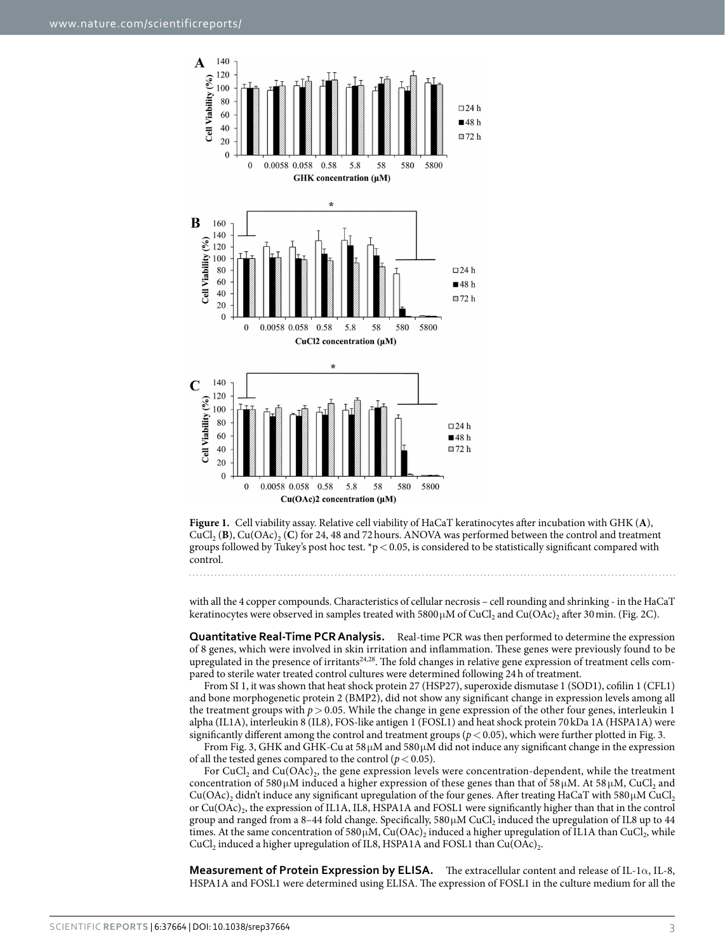

<span id="page-2-0"></span>**Figure 1.** Cell viability assay. Relative cell viability of HaCaT keratinocytes after incubation with GHK (**A**),  $CuCl<sub>2</sub>(**B**), Cu(OAc)<sub>2</sub>(**C**)$  for 24, 48 and 72 hours. ANOVA was performed between the control and treatment groups followed by Tukey's post hoc test. \*p < 0.05, is considered to be statistically significant compared with control.

with all the 4 copper compounds. Characteristics of cellular necrosis – cell rounding and shrinking - in the HaCaT keratinocytes were observed in samples treated with  $5800 \mu M$  of CuCl<sub>2</sub> and Cu(OAc)<sub>2</sub> after 30 min. [\(Fig. 2C\)](#page-3-0).

**Quantitative Real-Time PCR Analysis.** Real-time PCR was then performed to determine the expression of 8 genes, which were involved in skin irritation and inflammation. These genes were previously found to be upregulated in the presence of irritants[24](#page-9-17),[28](#page-9-19). The fold changes in relative gene expression of treatment cells compared to sterile water treated control cultures were determined following 24h of treatment.

From SI 1, it was shown that heat shock protein 27 (HSP27), superoxide dismutase 1 (SOD1), cofilin 1 (CFL1) and bone morphogenetic protein 2 (BMP2), did not show any significant change in expression levels among all the treatment groups with  $p > 0.05$ . While the change in gene expression of the other four genes, interleukin 1 alpha (IL1A), interleukin 8 (IL8), FOS-like antigen 1 (FOSL1) and heat shock protein 70kDa 1A (HSPA1A) were significantly different among the control and treatment groups ( $p < 0.05$ ), which were further plotted in [Fig. 3.](#page-4-0)

From [Fig. 3,](#page-4-0) GHK and GHK-Cu at 58μM and 580μM did not induce any significant change in the expression of all the tested genes compared to the control ( $p < 0.05$ ).

For CuCl<sub>2</sub> and Cu(OAc)<sub>2</sub>, the gene expression levels were concentration-dependent, while the treatment concentration of 580 μM induced a higher expression of these genes than that of 58 μM. At 58 μM, CuCl<sub>2</sub> and  $Cu(OAc)$ <sub>2</sub> didn't induce any significant upregulation of the four genes. After treating HaCaT with 580 $\mu$ M CuCl<sub>2</sub> or  $Cu(OAc)_2$ , the expression of IL1A, IL8, HSPA1A and FOSL1 were significantly higher than that in the control group and ranged from a 8-44 fold change. Specifically,  $580 \mu M$  CuCl<sub>2</sub> induced the upregulation of IL8 up to 44 times. At the same concentration of 580  $\mu$ M, Cu(OAc)<sub>2</sub> induced a higher upregulation of IL1A than CuCl<sub>2</sub>, while CuCl<sub>2</sub> induced a higher upregulation of IL8, HSPA1A and FOSL1 than Cu(OAc)<sub>2</sub>.

**Measurement of Protein Expression by ELISA.** The extracellular content and release of IL-1α, IL-8, HSPA1A and FOSL1 were determined using ELISA. The expression of FOSL1 in the culture medium for all the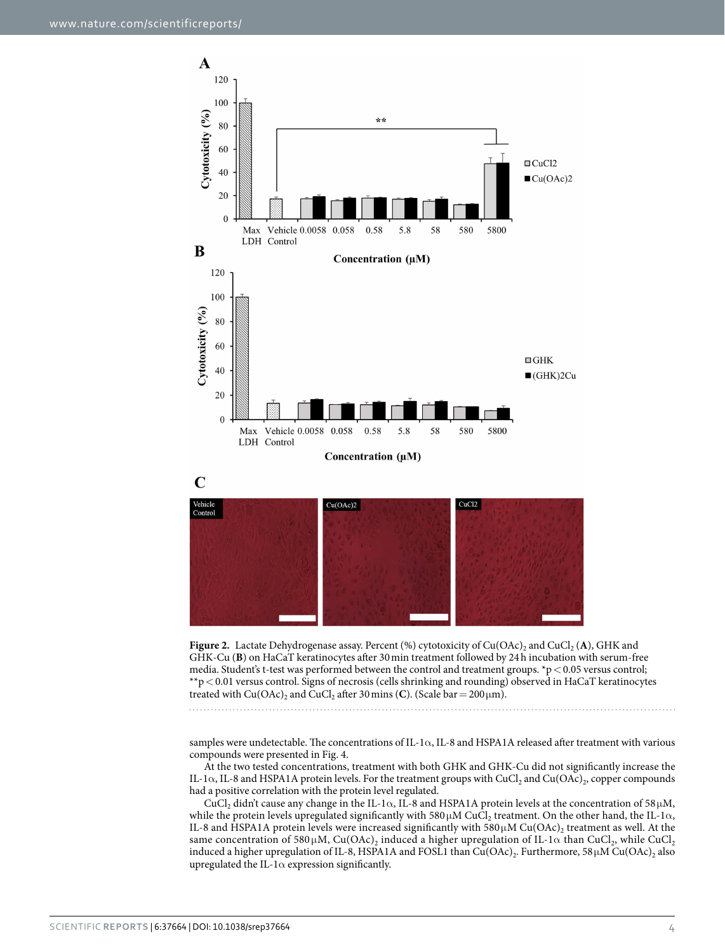



<span id="page-3-0"></span>

samples were undetectable. The concentrations of IL-1α, IL-8 and HSPA1A released after treatment with various compounds were presented in [Fig. 4](#page-5-0).

At the two tested concentrations, treatment with both GHK and GHK-Cu did not significantly increase the IL-1α, IL-8 and HSPA1A protein levels. For the treatment groups with CuCl<sub>2</sub> and Cu(OAc)<sub>2</sub>, copper compounds had a positive correlation with the protein level regulated.

CuCl<sub>2</sub> didn't cause any change in the IL-1 $\alpha$ , IL-8 and HSPA1A protein levels at the concentration of 58 $\mu$ M, while the protein levels upregulated significantly with 580  $\mu$ M CuCl<sub>2</sub> treatment. On the other hand, the IL-1 $\alpha$ , IL-8 and HSPA1A protein levels were increased significantly with  $580 \mu M$  Cu(OAc), treatment as well. At the same concentration of 580 μM, Cu(OAc)<sub>2</sub> induced a higher upregulation of IL-1 $\alpha$  than CuCl<sub>2</sub>, while CuCl<sub>2</sub> induced a higher upregulation of IL-8, HSPA1A and FOSL1 than Cu(OAc)<sub>2</sub>. Furthermore, 58 $\mu$ M Cu(OAc)<sub>2</sub> also upregulated the IL-1 $\alpha$  expression significantly.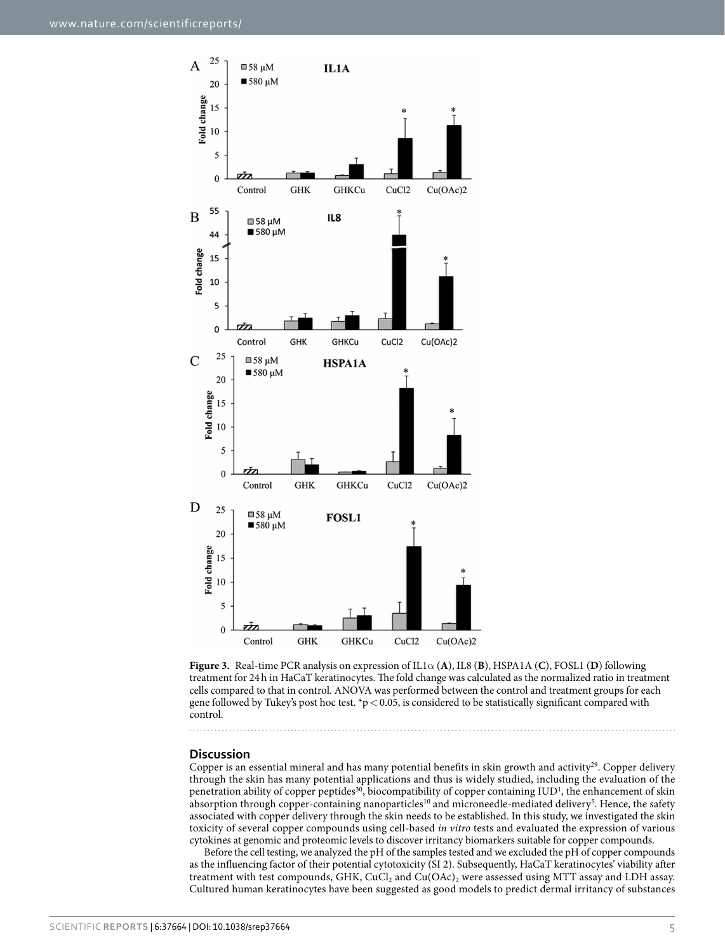

<span id="page-4-0"></span>

### **Discussion**

Copper is an essential mineral and has many potential benefits in skin growth and activity<sup>29</sup>. Copper delivery through the skin has many potential applications and thus is widely studied, including the evaluation of the penetration ability of copper peptides<sup>30</sup>, biocompatibility of copper containing IUD<sup>1</sup>, the enhancement of skin absorption through copper-containing nanoparticles<sup>10</sup> and microneedle-mediated delivery<sup>[5](#page-9-4)</sup>. Hence, the safety associated with copper delivery through the skin needs to be established. In this study, we investigated the skin toxicity of several copper compounds using cell-based *in vitro* tests and evaluated the expression of various cytokines at genomic and proteomic levels to discover irritancy biomarkers suitable for copper compounds.

Before the cell testing, we analyzed the pH of the samples tested and we excluded the pH of copper compounds as the influencing factor of their potential cytotoxicity (SI 2). Subsequently, HaCaT keratinocytes' viability after treatment with test compounds, GHK, CuCl<sub>2</sub> and Cu(OAc)<sub>2</sub> were assessed using MTT assay and LDH assay. Cultured human keratinocytes have been suggested as good models to predict dermal irritancy of substances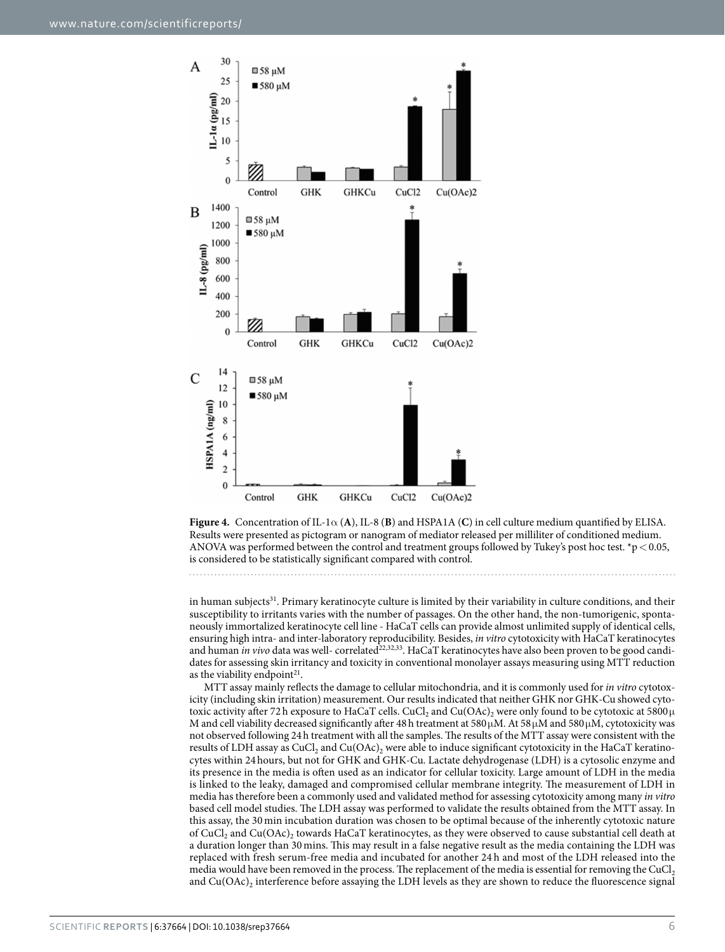

<span id="page-5-0"></span>**Figure 4.** Concentration of IL-1α (**A**), IL-8 (**B**) and HSPA1A (**C**) in cell culture medium quantified by ELISA. Results were presented as pictogram or nanogram of mediator released per milliliter of conditioned medium. ANOVA was performed between the control and treatment groups followed by Tukey's post hoc test. \*p < 0.05, is considered to be statistically significant compared with control.

in human subjects<sup>[31](#page-9-22)</sup>. Primary keratinocyte culture is limited by their variability in culture conditions, and their susceptibility to irritants varies with the number of passages. On the other hand, the non-tumorigenic, spontaneously immortalized keratinocyte cell line - HaCaT cells can provide almost unlimited supply of identical cells, ensuring high intra- and inter-laboratory reproducibility. Besides, *in vitro* cytotoxicity with HaCaT keratinocytes and human *in vivo* data was well- correlated<sup>22[,32](#page-9-23),33</sup>. HaCaT keratinocytes have also been proven to be good candidates for assessing skin irritancy and toxicity in conventional monolayer assays measuring using MTT reduction as the viability endpoint<sup>21</sup>.

MTT assay mainly reflects the damage to cellular mitochondria, and it is commonly used for *in vitro* cytotoxicity (including skin irritation) measurement. Our results indicated that neither GHK nor GHK-Cu showed cytotoxic activity after 72 h exposure to HaCaT cells. CuCl<sub>2</sub> and Cu(OAc)<sub>2</sub> were only found to be cytotoxic at 5800 $\mu$ M and cell viability decreased significantly after 48 h treatment at 580  $\mu$ M. At 58 $\mu$ M and 580  $\mu$ M, cytotoxicity was not observed following 24h treatment with all the samples. The results of the MTT assay were consistent with the results of LDH assay as CuCl<sub>2</sub> and Cu(OAc)<sub>2</sub> were able to induce significant cytotoxicity in the HaCaT keratinocytes within 24 hours, but not for GHK and GHK-Cu. Lactate dehydrogenase (LDH) is a cytosolic enzyme and its presence in the media is often used as an indicator for cellular toxicity. Large amount of LDH in the media is linked to the leaky, damaged and compromised cellular membrane integrity. The measurement of LDH in media has therefore been a commonly used and validated method for assessing cytotoxicity among many *in vitro* based cell model studies. The LDH assay was performed to validate the results obtained from the MTT assay. In this assay, the 30 min incubation duration was chosen to be optimal because of the inherently cytotoxic nature of CuCl<sub>2</sub> and Cu(OAc)<sub>2</sub> towards HaCaT keratinocytes, as they were observed to cause substantial cell death at a duration longer than 30 mins. This may result in a false negative result as the media containing the LDH was replaced with fresh serum-free media and incubated for another 24 h and most of the LDH released into the media would have been removed in the process. The replacement of the media is essential for removing the CuCl<sub>2</sub> and  $Cu(OAc)$ , interference before assaying the LDH levels as they are shown to reduce the fluorescence signal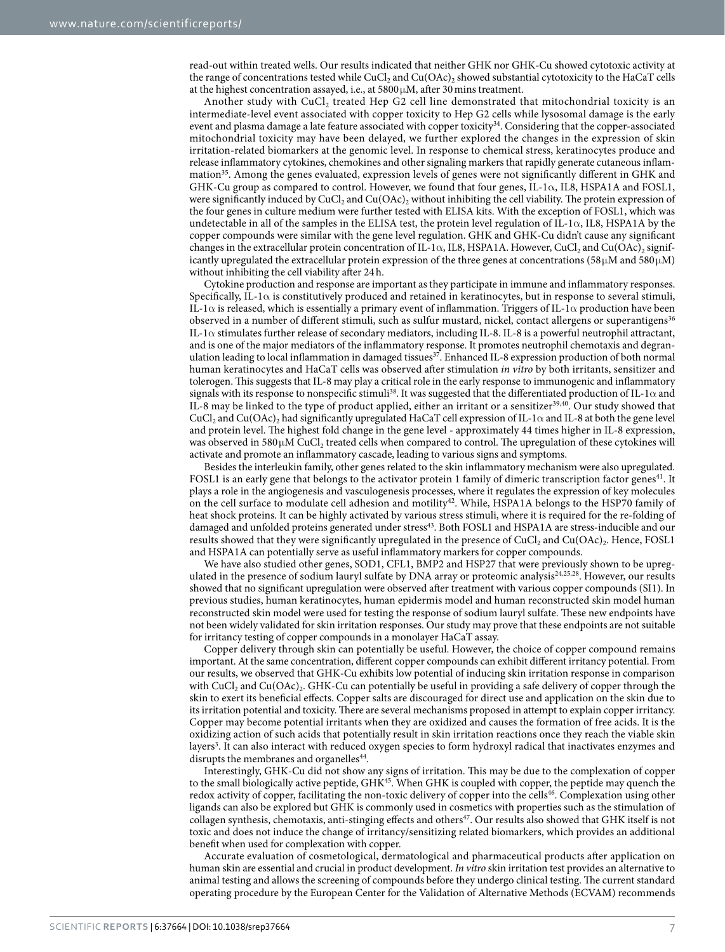read-out within treated wells. Our results indicated that neither GHK nor GHK-Cu showed cytotoxic activity at the range of concentrations tested while CuCl<sub>2</sub> and Cu(OAc)<sub>2</sub> showed substantial cytotoxicity to the HaCaT cells at the highest concentration assayed, i.e., at  $5800 \mu$ M, after 30 mins treatment.

Another study with  $CuCl<sub>2</sub>$  treated Hep G2 cell line demonstrated that mitochondrial toxicity is an intermediate-level event associated with copper toxicity to Hep G2 cells while lysosomal damage is the early event and plasma damage a late feature associated with copper toxicity<sup>34</sup>. Considering that the copper-associated mitochondrial toxicity may have been delayed, we further explored the changes in the expression of skin irritation-related biomarkers at the genomic level. In response to chemical stress, keratinocytes produce and release inflammatory cytokines, chemokines and other signaling markers that rapidly generate cutaneous inflammation[35.](#page-9-26) Among the genes evaluated, expression levels of genes were not significantly different in GHK and GHK-Cu group as compared to control. However, we found that four genes, IL-1 $\alpha$ , IL8, HSPA1A and FOSL1, were significantly induced by CuCl<sub>2</sub> and Cu(OAc)<sub>2</sub> without inhibiting the cell viability. The protein expression of the four genes in culture medium were further tested with ELISA kits. With the exception of FOSL1, which was undetectable in all of the samples in the ELISA test, the protein level regulation of IL-1α, IL8, HSPA1A by the copper compounds were similar with the gene level regulation. GHK and GHK-Cu didn't cause any significant changes in the extracellular protein concentration of IL-1 $\alpha$ , IL8, HSPA1A. However, CuCl<sub>2</sub> and Cu(OAc)<sub>2</sub> significantly upregulated the extracellular protein expression of the three genes at concentrations (58 $\mu$ M and 580 $\mu$ M) without inhibiting the cell viability after 24h.

Cytokine production and response are important as they participate in immune and inflammatory responses. Specifically, IL-1α is constitutively produced and retained in keratinocytes, but in response to several stimuli, IL-1 $\alpha$  is released, which is essentially a primary event of inflammation. Triggers of IL-1 $\alpha$  production have been observed in a number of different stimuli, such as sulfur mustard, nickel, contact allergens or superantigens<sup>[36](#page-9-27)</sup> IL-1 $\alpha$  stimulates further release of secondary mediators, including IL-8. IL-8 is a powerful neutrophil attractant, and is one of the major mediators of the inflammatory response. It promotes neutrophil chemotaxis and degran-ulation leading to local inflammation in damaged tissues<sup>[37](#page-9-28)</sup>. Enhanced IL-8 expression production of both normal human keratinocytes and HaCaT cells was observed after stimulation *in vitro* by both irritants, sensitizer and tolerogen. This suggests that IL-8 may play a critical role in the early response to immunogenic and inflammatory signals with its response to nonspecific stimuli<sup>38</sup>. It was suggested that the differentiated production of IL-1 $\alpha$  and IL-8 may be linked to the type of product applied, either an irritant or a sensitize[r39,](#page-9-30)[40.](#page-9-31) Our study showed that CuCl<sub>2</sub> and Cu(OAc)<sub>2</sub> had significantly upregulated HaCaT cell expression of IL-1 $\alpha$  and IL-8 at both the gene level and protein level. The highest fold change in the gene level - approximately 44 times higher in IL-8 expression, was observed in 580  $\mu$ M CuCl<sub>2</sub> treated cells when compared to control. The upregulation of these cytokines will activate and promote an inflammatory cascade, leading to various signs and symptoms.

Besides the interleukin family, other genes related to the skin inflammatory mechanism were also upregulated. FOSL1 is an early gene that belongs to the activator protein 1 family of dimeric transcription factor genes<sup>41</sup>. It plays a role in the angiogenesis and vasculogenesis processes, where it regulates the expression of key molecules on the cell surface to modulate cell adhesion and motility<sup>42</sup>. While, HSPA1A belongs to the HSP70 family of heat shock proteins. It can be highly activated by various stress stimuli, where it is required for the re-folding of damaged and unfolded proteins generated under stress<sup>43</sup>. Both FOSL1 and HSPA1A are stress-inducible and our results showed that they were significantly upregulated in the presence of CuCl<sub>2</sub> and Cu(OAc)<sub>2</sub>. Hence, FOSL1 and HSPA1A can potentially serve as useful inflammatory markers for copper compounds.

We have also studied other genes, SOD1, CFL1, BMP2 and HSP27 that were previously shown to be upreg-ulated in the presence of sodium lauryl sulfate by DNA array or proteomic analysis<sup>[24,](#page-9-17)[25,](#page-9-35)28</sup>. However, our results showed that no significant upregulation were observed after treatment with various copper compounds (SI1). In previous studies, human keratinocytes, human epidermis model and human reconstructed skin model human reconstructed skin model were used for testing the response of sodium lauryl sulfate. These new endpoints have not been widely validated for skin irritation responses. Our study may prove that these endpoints are not suitable for irritancy testing of copper compounds in a monolayer HaCaT assay.

Copper delivery through skin can potentially be useful. However, the choice of copper compound remains important. At the same concentration, different copper compounds can exhibit different irritancy potential. From our results, we observed that GHK-Cu exhibits low potential of inducing skin irritation response in comparison with CuCl<sub>2</sub> and Cu(OAc)<sub>2</sub>. GHK-Cu can potentially be useful in providing a safe delivery of copper through the skin to exert its beneficial effects. Copper salts are discouraged for direct use and application on the skin due to its irritation potential and toxicity. There are several mechanisms proposed in attempt to explain copper irritancy. Copper may become potential irritants when they are oxidized and causes the formation of free acids. It is the oxidizing action of such acids that potentially result in skin irritation reactions once they reach the viable skin layers<sup>[3](#page-9-2)</sup>. It can also interact with reduced oxygen species to form hydroxyl radical that inactivates enzymes and disrupts the membranes and organelles<sup>44</sup>.

Interestingly, GHK-Cu did not show any signs of irritation. This may be due to the complexation of copper to the small biologically active peptide,  $GHK<sup>45</sup>$  $GHK<sup>45</sup>$  $GHK<sup>45</sup>$ . When GHK is coupled with copper, the peptide may quench the redox activity of copper, facilitating the non-toxic delivery of copper into the cell[s46.](#page-10-2) Complexation using other ligands can also be explored but GHK is commonly used in cosmetics with properties such as the stimulation of collagen synthesis, chemotaxis, anti-stinging effects and others<sup>47</sup>. Our results also showed that GHK itself is not toxic and does not induce the change of irritancy/sensitizing related biomarkers, which provides an additional benefit when used for complexation with copper.

Accurate evaluation of cosmetological, dermatological and pharmaceutical products after application on human skin are essential and crucial in product development. *In vitro* skin irritation test provides an alternative to animal testing and allows the screening of compounds before they undergo clinical testing. The current standard operating procedure by the European Center for the Validation of Alternative Methods (ECVAM) recommends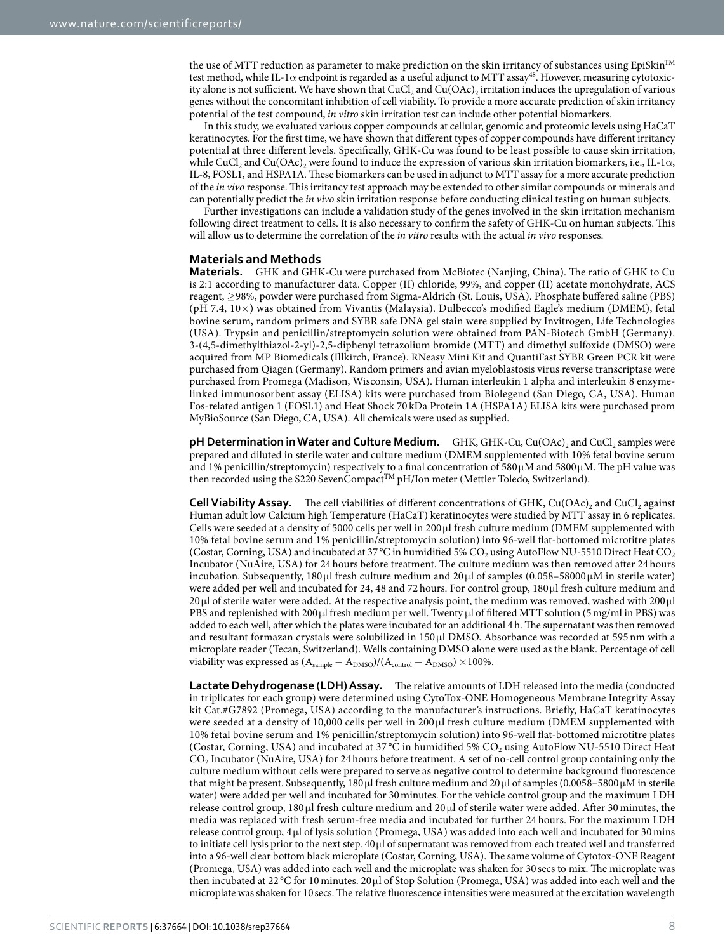the use of MTT reduction as parameter to make prediction on the skin irritancy of substances using  $EpiSkin<sup>TM</sup>$ test method, while IL-1α endpoint is regarded as a useful adjunct to MTT assay<sup>[48](#page-10-4)</sup>. However, measuring cytotoxicity alone is not sufficient. We have shown that  $CuCl<sub>2</sub>$  and  $Cu(OAc)<sub>2</sub>$  irritation induces the upregulation of various genes without the concomitant inhibition of cell viability. To provide a more accurate prediction of skin irritancy potential of the test compound, *in vitro* skin irritation test can include other potential biomarkers.

In this study, we evaluated various copper compounds at cellular, genomic and proteomic levels using HaCaT keratinocytes. For the first time, we have shown that different types of copper compounds have different irritancy potential at three different levels. Specifically, GHK-Cu was found to be least possible to cause skin irritation, while CuCl<sub>2</sub> and Cu(OAc)<sub>2</sub> were found to induce the expression of various skin irritation biomarkers, i.e., IL-1 $\alpha$ , IL-8, FOSL1, and HSPA1A. These biomarkers can be used in adjunct to MTT assay for a more accurate prediction of the *in vivo* response. This irritancy test approach may be extended to other similar compounds or minerals and can potentially predict the *in vivo* skin irritation response before conducting clinical testing on human subjects.

Further investigations can include a validation study of the genes involved in the skin irritation mechanism following direct treatment to cells. It is also necessary to confirm the safety of GHK-Cu on human subjects. This will allow us to determine the correlation of the *in vitro* results with the actual *in vivo* responses.

### **Materials and Methods**

**Materials.** GHK and GHK-Cu were purchased from McBiotec (Nanjing, China). The ratio of GHK to Cu is 2:1 according to manufacturer data. Copper (II) chloride, 99%, and copper (II) acetate monohydrate, ACS reagent, ≥98%, powder were purchased from Sigma-Aldrich (St. Louis, USA). Phosphate buffered saline (PBS) (pH 7.4, 10×) was obtained from Vivantis (Malaysia). Dulbecco's modified Eagle's medium (DMEM), fetal bovine serum, random primers and SYBR safe DNA gel stain were supplied by Invitrogen, Life Technologies (USA). Trypsin and penicillin/streptomycin solution were obtained from PAN-Biotech GmbH (Germany). 3-(4,5-dimethylthiazol-2-yl)-2,5-diphenyl tetrazolium bromide (MTT) and dimethyl sulfoxide (DMSO) were acquired from MP Biomedicals (Illkirch, France). RNeasy Mini Kit and QuantiFast SYBR Green PCR kit were purchased from Qiagen (Germany). Random primers and avian myeloblastosis virus reverse transcriptase were purchased from Promega (Madison, Wisconsin, USA). Human interleukin 1 alpha and interleukin 8 enzymelinked immunosorbent assay (ELISA) kits were purchased from Biolegend (San Diego, CA, USA). Human Fos-related antigen 1 (FOSL1) and Heat Shock 70 kDa Protein 1A (HSPA1A) ELISA kits were purchased prom MyBioSource (San Diego, CA, USA). All chemicals were used as supplied.

**pH Determination in Water and Culture Medium.** GHK, GHK-Cu, Cu(OAc)<sub>2</sub> and CuCl<sub>2</sub> samples were prepared and diluted in sterile water and culture medium (DMEM supplemented with 10% fetal bovine serum and 1% penicillin/streptomycin) respectively to a final concentration of 580 μM and 5800μM. The pH value was then recorded using the S220 SevenCompact™ pH/Ion meter (Mettler Toledo, Switzerland).

**Cell Viability Assay.** The cell viabilities of different concentrations of GHK, Cu(OAc)<sub>2</sub> and CuCl<sub>2</sub> against Human adult low Calcium high Temperature (HaCaT) keratinocytes were studied by MTT assay in 6 replicates. Cells were seeded at a density of 5000 cells per well in 200 μl fresh culture medium (DMEM supplemented with 10% fetal bovine serum and 1% penicillin/streptomycin solution) into 96-well flat-bottomed microtitre plates (Costar, Corning, USA) and incubated at 37 °C in humidified 5% CO<sub>2</sub> using AutoFlow NU-5510 Direct Heat CO<sub>2</sub> Incubator (NuAire, USA) for 24 hours before treatment. The culture medium was then removed after 24hours incubation. Subsequently, 180 μl fresh culture medium and 20 μl of samples  $(0.058 - 58000 \mu M)$  in sterile water) were added per well and incubated for 24, 48 and 72 hours. For control group, 180 μl fresh culture medium and 20μl of sterile water were added. At the respective analysis point, the medium was removed, washed with 200μl PBS and replenished with 200μl fresh medium per well. Twenty μl of filtered MTT solution (5mg/ml in PBS) was added to each well, after which the plates were incubated for an additional 4h. The supernatant was then removed and resultant formazan crystals were solubilized in 150 μl DMSO. Absorbance was recorded at 595 nm with a microplate reader (Tecan, Switzerland). Wells containing DMSO alone were used as the blank. Percentage of cell viability was expressed as  $(A_{\text{sample}} - A_{\text{DMSO}})/(A_{\text{control}} - A_{\text{DMSO}}) \times 100\%$ .

**Lactate Dehydrogenase (LDH) Assay.** The relative amounts of LDH released into the media (conducted in triplicates for each group) were determined using CytoTox-ONE Homogeneous Membrane Integrity Assay kit Cat.#G7892 (Promega, USA) according to the manufacturer's instructions. Briefly, HaCaT keratinocytes were seeded at a density of 10,000 cells per well in 200 μl fresh culture medium (DMEM supplemented with 10% fetal bovine serum and 1% penicillin/streptomycin solution) into 96-well flat-bottomed microtitre plates (Costar, Corning, USA) and incubated at 37°C in humidified 5% CO<sub>2</sub> using AutoFlow NU-5510 Direct Heat CO2 Incubator (NuAire, USA) for 24 hours before treatment. A set of no-cell control group containing only the culture medium without cells were prepared to serve as negative control to determine background fluorescence that might be present. Subsequently, 180 μl fresh culture medium and 20μl of samples (0.0058–5800 μM in sterile water) were added per well and incubated for 30minutes. For the vehicle control group and the maximum LDH release control group, 180 μl fresh culture medium and 20 μl of sterile water were added. After 30 minutes, the media was replaced with fresh serum-free media and incubated for further 24 hours. For the maximum LDH release control group, 4 μl of lysis solution (Promega, USA) was added into each well and incubated for 30mins to initiate cell lysis prior to the next step. 40μl of supernatant was removed from each treated well and transferred into a 96-well clear bottom black microplate (Costar, Corning, USA). The same volume of Cytotox-ONE Reagent (Promega, USA) was added into each well and the microplate was shaken for 30secs to mix. The microplate was then incubated at 22 °C for 10minutes. 20 μl of Stop Solution (Promega, USA) was added into each well and the microplate was shaken for 10secs. The relative fluorescence intensities were measured at the excitation wavelength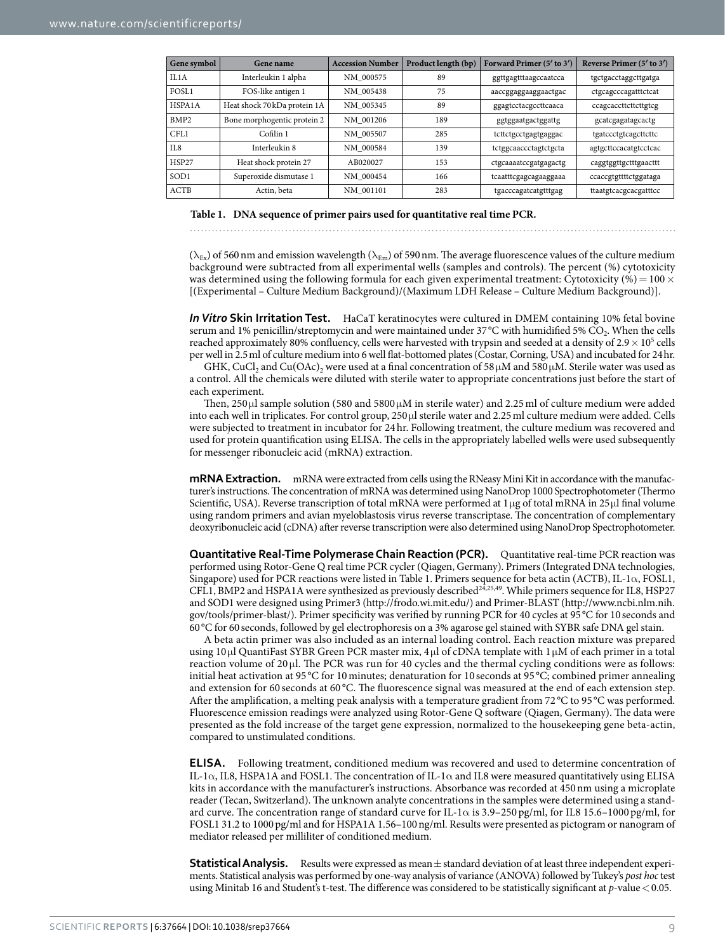<span id="page-8-0"></span>

| Gene symbol       | Gene name                    | <b>Accession Number</b> | Product length (bp) | Forward Primer (5' to 3') | Reverse Primer $(5'$ to $3')$ |
|-------------------|------------------------------|-------------------------|---------------------|---------------------------|-------------------------------|
| II.A              | Interleukin 1 alpha          | NM 000575               | 89                  | ggttgagtttaagccaatcca     | tgctgacctaggcttgatga          |
| FOSL <sub>1</sub> | FOS-like antigen 1           | NM 005438               | 75                  | aaccggaggaaggaactgac      | ctgcagcccagatttctcat          |
| HSPA1A            | Heat shock 70 kDa protein 1A | NM 005345               | 89                  | ggagtcctacgccttcaaca      | ccagcaccttcttcttgtcg          |
| BMP <sub>2</sub>  | Bone morphogentic protein 2  | NM 001206               | 189                 | ggtggaatgactggattg        | gcatcgagatagcactg             |
| CFI.1             | Cofilin 1                    | NM 005507               | 285                 | tcttctgcctgagtgaggac      | tgatccctgtcagcttcttc          |
| II.8              | Interleukin 8                | NM 000584               | 139                 | tctggcaaccctagtctgcta     | agtgcttccacatgtcctcac         |
| HSP27             | Heat shock protein 27        | AB020027                | 153                 | ctgcaaaatccgatgagactg     | caggtggttgctttgaacttt         |
| SOD <sub>1</sub>  | Superoxide dismutase 1       | NM 000454               | 166                 | tcaatttcgagcagaaggaaa     | ccaccgtgttttctggataga         |
| ACTB              | Actin, beta                  | NM 001101               | 283                 | tgacccagatcatgtttgag      | ttaatgtcacgcacgatttcc         |

#### **Table 1. DNA sequence of primer pairs used for quantitative real time PCR.**

( $\lambda_{Ex}$ ) of 560 nm and emission wavelength ( $\lambda_{Em}$ ) of 590 nm. The average fluorescence values of the culture medium background were subtracted from all experimental wells (samples and controls). The percent (%) cytotoxicity was determined using the following formula for each given experimental treatment: Cytotoxicity (%) =  $100 \times$ [(Experimental – Culture Medium Background)/(Maximum LDH Release – Culture Medium Background)].

*In Vitro* **Skin Irritation Test.** HaCaT keratinocytes were cultured in DMEM containing 10% fetal bovine serum and 1% penicillin/streptomycin and were maintained under 37°C with humidified 5% CO<sub>2</sub>. When the cells reached approximately 80% confluency, cells were harvested with trypsin and seeded at a density of  $2.9 \times 10^5$  cells per well in 2.5ml of culture medium into 6 well flat-bottomed plates (Costar, Corning, USA) and incubated for 24hr.

GHK, CuCl<sub>2</sub> and Cu(OAc)<sub>2</sub> were used at a final concentration of 58 $\mu$ M and 580 $\mu$ M. Sterile water was used as a control. All the chemicals were diluted with sterile water to appropriate concentrations just before the start of each experiment.

Then, 250 μl sample solution (580 and 5800  $\mu$ M in sterile water) and 2.25 ml of culture medium were added into each well in triplicates. For control group, 250μl sterile water and 2.25ml culture medium were added. Cells were subjected to treatment in incubator for 24hr. Following treatment, the culture medium was recovered and used for protein quantification using ELISA. The cells in the appropriately labelled wells were used subsequently for messenger ribonucleic acid (mRNA) extraction.

**mRNA Extraction.** mRNA were extracted from cells using the RNeasy Mini Kit in accordance with the manufacturer's instructions. The concentration of mRNA was determined using NanoDrop 1000 Spectrophotometer (Thermo Scientific, USA). Reverse transcription of total mRNA were performed at 1μg of total mRNA in 25μl final volume using random primers and avian myeloblastosis virus reverse transcriptase. The concentration of complementary deoxyribonucleic acid (cDNA) after reverse transcription were also determined using NanoDrop Spectrophotometer.

**Quantitative Real-Time Polymerase Chain Reaction (PCR).** Quantitative real-time PCR reaction was performed using Rotor-Gene Q real time PCR cycler (Qiagen, Germany). Primers (Integrated DNA technologies, Singapore) used for PCR reactions were listed in [Table 1](#page-8-0). Primers sequence for beta actin (ACTB), IL-1α, FOSL1, CFL1, BMP2 and HSPA1A were synthesized as previously described<sup>24,[25,](#page-9-35)[49](#page-10-5)</sup>. While primers sequence for IL8, HSP27 and SOD1 were designed using Primer3 [\(http://frodo.wi.mit.edu/\)](http://frodo.wi.mit.edu/) and Primer-BLAST [\(http://www.ncbi.nlm.nih.](http://www.ncbi.nlm.nih.gov/tools/primer-blast/) [gov/tools/primer-blast/\)](http://www.ncbi.nlm.nih.gov/tools/primer-blast/). Primer specificity was verified by running PCR for 40 cycles at 95°C for 10seconds and 60°C for 60 seconds, followed by gel electrophoresis on a 3% agarose gel stained with SYBR safe DNA gel stain.

A beta actin primer was also included as an internal loading control. Each reaction mixture was prepared using 10μl QuantiFast SYBR Green PCR master mix, 4 μl of cDNA template with 1 μM of each primer in a total reaction volume of 20 μl. The PCR was run for 40 cycles and the thermal cycling conditions were as follows: initial heat activation at 95 °C for 10minutes; denaturation for 10 seconds at 95 °C; combined primer annealing and extension for 60 seconds at 60 °C. The fluorescence signal was measured at the end of each extension step. After the amplification, a melting peak analysis with a temperature gradient from 72 °C to 95 °C was performed. Fluorescence emission readings were analyzed using Rotor-Gene Q software (Qiagen, Germany). The data were presented as the fold increase of the target gene expression, normalized to the housekeeping gene beta-actin, compared to unstimulated conditions.

**ELISA.** Following treatment, conditioned medium was recovered and used to determine concentration of IL-1 $\alpha$ , IL8, HSPA1A and FOSL1. The concentration of IL-1 $\alpha$  and IL8 were measured quantitatively using ELISA kits in accordance with the manufacturer's instructions. Absorbance was recorded at 450nm using a microplate reader (Tecan, Switzerland). The unknown analyte concentrations in the samples were determined using a standard curve. The concentration range of standard curve for IL-1 $\alpha$  is 3.9–250 pg/ml, for IL8 15.6–1000 pg/ml, for FOSL1 31.2 to 1000pg/ml and for HSPA1A 1.56–100ng/ml. Results were presented as pictogram or nanogram of mediator released per milliliter of conditioned medium.

**Statistical Analysis.** Results were expressed as mean  $\pm$  standard deviation of at least three independent experiments. Statistical analysis was performed by one-way analysis of variance (ANOVA) followed by Tukey's *post hoc* test using Minitab 16 and Student's t-test. The difference was considered to be statistically significant at *p*-value < 0.05.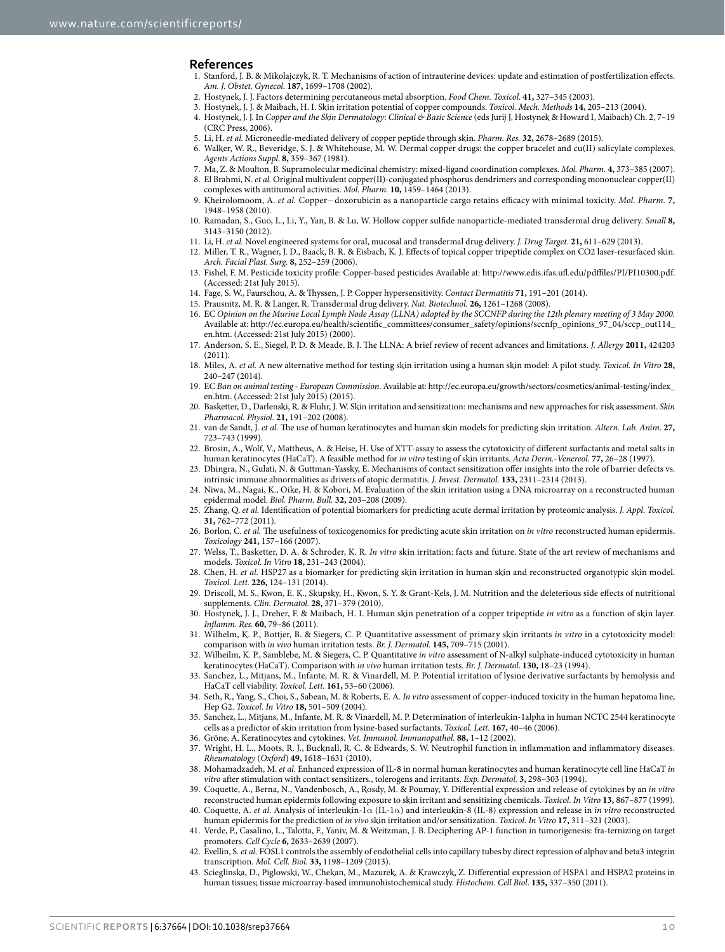#### **References**

- <span id="page-9-0"></span>1. Stanford, J. B. & Mikolajczyk, R. T. Mechanisms of action of intrauterine devices: update and estimation of postfertilization effects. *Am. J. Obstet. Gynecol.* **187,** 1699–1708 (2002).
- <span id="page-9-2"></span><span id="page-9-1"></span>2. Hostynek, J. J. Factors determining percutaneous metal absorption. *Food Chem. Toxicol.* **41,** 327–345 (2003).
- 3. Hostynek, J. J. & Maibach, H. I. Skin irritation potential of copper compounds. *Toxicol. Mech. Methods* **14,** 205–213 (2004).
- <span id="page-9-3"></span>4. Hostynek, J. J. In *Copper and the Skin Dermatology: Clinical & Basic Science* (eds Jurij J, Hostynek & Howard I, Maibach) Ch. 2, 7–19 (CRC Press, 2006).
- <span id="page-9-4"></span>5. Li, H. *et al.* Microneedle-mediated delivery of copper peptide through skin. *Pharm. Res.* **32,** 2678–2689 (2015).
- 6. Walker, W. R., Beveridge, S. J. & Whitehouse, M. W. Dermal copper drugs: the copper bracelet and cu(II) salicylate complexes. *Agents Actions Suppl*. **8,** 359–367 (1981).
- 7. Ma, Z. & Moulton, B. Supramolecular medicinal chemistry: mixed-ligand coordination complexes. *Mol. Pharm.* **4,** 373–385 (2007).
- 8. El Brahmi, N. *et al.* Original multivalent copper(II)-conjugated phosphorus dendrimers and corresponding mononuclear copper(II) complexes with antitumoral activities. *Mol. Pharm.* **10,** 1459–1464 (2013).
- 9. Kheirolomoom, A. *et al.* Copper−doxorubicin as a nanoparticle cargo retains efficacy with minimal toxicity. *Mol. Pharm.* **7,** 1948–1958 (2010).
- <span id="page-9-5"></span>10. Ramadan, S., Guo, L., Li, Y., Yan, B. & Lu, W. Hollow copper sulfide nanoparticle-mediated transdermal drug delivery. *Small* **8,** 3143–3150 (2012).
- <span id="page-9-6"></span>11. Li, H. *et al.* Novel engineered systems for oral, mucosal and transdermal drug delivery. *J. Drug Target*. **21,** 611–629 (2013).
- <span id="page-9-7"></span>12. Miller, T. R., Wagner, J. D., Baack, B. R. & Eisbach, K. J. Effects of topical copper tripeptide complex on CO2 laser-resurfaced skin. *Arch. Facial Plast. Surg.* **8,** 252–259 (2006).
- <span id="page-9-8"></span>13. Fishel, F. M. Pesticide toxicity profile: Copper-based pesticides Available at:<http://www.edis.ifas.ufl.edu/pdffiles/PI/PI10300.pdf>. (Accessed: 21st July 2015).
- <span id="page-9-9"></span>14. Fage, S. W., Faurschou, A. & Thyssen, J. P. Copper hypersensitivity. *Contact Dermatitis* **71,** 191–201 (2014).
- <span id="page-9-11"></span><span id="page-9-10"></span>15. Prausnitz, M. R. & Langer, R. Transdermal drug delivery. *Nat. Biotechnol.* **26,** 1261–1268 (2008).
- 16. EC *Opinion on the Murine Local Lymph Node Assay (LLNA) adopted by the SCCNFP during the 12th plenary meeting of 3 May 2000.* Available at: [http://ec.europa.eu/health/scientific\\_committees/consumer\\_safety/opinions/sccnfp\\_opinions\\_97\\_04/sccp\\_out114\\_](http://ec.europa.eu/health/scientific_committees/consumer_safety/opinions/sccnfp_opinions_97_04/sccp_out114_en.htm) [en.htm.](http://ec.europa.eu/health/scientific_committees/consumer_safety/opinions/sccnfp_opinions_97_04/sccp_out114_en.htm) (Accessed: 21st July 2015) (2000).
- <span id="page-9-12"></span>17. Anderson, S. E., Siegel, P. D. & Meade, B. J. The LLNA: A brief review of recent advances and limitations. *J. Allergy* **2011,** 424203 (2011).
- 18. Miles, A. *et al.* A new alternative method for testing skin irritation using a human skin model: A pilot study. *Toxicol. In Vitro* **28,** 240–247 (2014).
- 19. EC *Ban on animal testing European Commission*. Available at: [http://ec.europa.eu/growth/sectors/cosmetics/animal-testing/index\\_](http://ec.europa.eu/growth/sectors/cosmetics/animal-testing/index_en.htm) [en.htm.](http://ec.europa.eu/growth/sectors/cosmetics/animal-testing/index_en.htm) (Accessed: 21st July 2015) (2015).
- <span id="page-9-13"></span>20. Basketter, D., Darlenski, R. & Fluhr, J. W. Skin irritation and sensitization: mechanisms and new approaches for risk assessment. *Skin Pharmacol. Physiol.* **21,** 191–202 (2008).
- <span id="page-9-14"></span>21. van de Sandt, J. *et al.* The use of human keratinocytes and human skin models for predicting skin irritation. *Altern. Lab. Anim*. **27,** 723–743 (1999).
- <span id="page-9-15"></span>22. Brosin, A., Wolf, V., Mattheus, A. & Heise, H. Use of XTT-assay to assess the cytotoxicity of different surfactants and metal salts in human keratinocytes (HaCaT). A feasible method for *in vitro* testing of skin irritants. *Acta Derm.-Venereol*. **77,** 26–28 (1997).
- <span id="page-9-16"></span>23. Dhingra, N., Gulati, N. & Guttman-Yassky, E. Mechanisms of contact sensitization offer insights into the role of barrier defects vs. intrinsic immune abnormalities as drivers of atopic dermatitis. *J. Invest. Dermatol.* **133,** 2311–2314 (2013).
- <span id="page-9-17"></span>24. Niwa, M., Nagai, K., Oike, H. & Kobori, M. Evaluation of the skin irritation using a DNA microarray on a reconstructed human epidermal model. *Biol. Pharm. Bull.* **32,** 203–208 (2009).
- <span id="page-9-35"></span>25. Zhang, Q. *et al.* Identification of potential biomarkers for predicting acute dermal irritation by proteomic analysis. *J. Appl. Toxicol.* **31,** 762–772 (2011).
- 26. Borlon, C. *et al.* The usefulness of toxicogenomics for predicting acute skin irritation on *in vitro* reconstructed human epidermis. *Toxicology* **241,** 157–166 (2007).
- <span id="page-9-18"></span>27. Welss, T., Basketter, D. A. & Schroder, K. R. *In vitro* skin irritation: facts and future. State of the art review of mechanisms and models. *Toxicol. In Vitro* **18,** 231–243 (2004).
- <span id="page-9-19"></span>28. Chen, H. *et al.* HSP27 as a biomarker for predicting skin irritation in human skin and reconstructed organotypic skin model. *Toxicol. Lett.* **226,** 124–131 (2014).
- <span id="page-9-20"></span>29. Driscoll, M. S., Kwon, E. K., Skupsky, H., Kwon, S. Y. & Grant-Kels, J. M. Nutrition and the deleterious side effects of nutritional supplements. *Clin. Dermatol.* **28,** 371–379 (2010).
- <span id="page-9-21"></span>30. Hostynek, J. J., Dreher, F. & Maibach, H. I. Human skin penetration of a copper tripeptide *in vitro* as a function of skin layer. *Inflamm. Res.* **60,** 79–86 (2011).
- <span id="page-9-22"></span>31. Wilhelm, K. P., Bottjer, B. & Siegers, C. P. Quantitative assessment of primary skin irritants *in vitro* in a cytotoxicity model: comparison with *in vivo* human irritation tests. *Br. J. Dermatol.* **145,** 709–715 (2001).
- <span id="page-9-23"></span>32. Wilheilm, K. P., Samblebe, M. & Siegers, C. P. Quantitative *in vitro* assessment of N-alkyl sulphate-induced cytotoxicity in human keratinocytes (HaCaT). Comparison with *in vivo* human irritation tests. *Br. J. Dermatol*. **130,** 18–23 (1994).
- <span id="page-9-24"></span>33. Sanchez, L., Mitjans, M., Infante, M. R. & Vinardell, M. P. Potential irritation of lysine derivative surfactants by hemolysis and HaCaT cell viability. *Toxicol. Lett.* **161,** 53–60 (2006).
- <span id="page-9-25"></span>34. Seth, R., Yang, S., Choi, S., Sabean, M. & Roberts, E. A. *In vitro* assessment of copper-induced toxicity in the human hepatoma line, Hep G2. *Toxicol. In Vitro* **18,** 501–509 (2004).
- <span id="page-9-26"></span>35. Sanchez, L., Mitjans, M., Infante, M. R. & Vinardell, M. P. Determination of interleukin-1alpha in human NCTC 2544 keratinocyte cells as a predictor of skin irritation from lysine-based surfactants. *Toxicol. Lett.* **167,** 40–46 (2006).
- <span id="page-9-27"></span>36. Gröne, A. Keratinocytes and cytokines. *Vet. Immunol. Immunopathol.* **88,** 1–12 (2002).
- <span id="page-9-28"></span>37. Wright, H. L., Moots, R. J., Bucknall, R. C. & Edwards, S. W. Neutrophil function in inflammation and inflammatory diseases. *Rheumatology* (*Oxford*) **49,** 1618–1631 (2010).
- <span id="page-9-29"></span>38. Mohamadzadeh, M. *et al.* Enhanced expression of IL-8 in normal human keratinocytes and human keratinocyte cell line HaCaT *in vitro* after stimulation with contact sensitizers., tolerogens and irritants. *Exp. Dermatol.* **3,** 298–303 (1994).
- <span id="page-9-30"></span>39. Coquette, A., Berna, N., Vandenbosch, A., Rosdy, M. & Poumay, Y. Differential expression and release of cytokines by an *in vitro* reconstructed human epidermis following exposure to skin irritant and sensitizing chemicals. *Toxicol. In Vitro* **13,** 867–877 (1999).
- <span id="page-9-31"></span>40. Coquette, A. *et al.* Analysis of interleukin-1α (IL-1α) and interleukin-8 (IL-8) expression and release in *in vitro* reconstructed human epidermis for the prediction of *in vivo* skin irritation and/or sensitization. *Toxicol. In Vitro* **17,** 311–321 (2003).
- <span id="page-9-32"></span>41. Verde, P., Casalino, L., Talotta, F., Yaniv, M. & Weitzman, J. B. Deciphering AP-1 function in tumorigenesis: fra-ternizing on target promoters. *Cell Cycle* **6,** 2633–2639 (2007).
- <span id="page-9-33"></span>42. Evellin, S. *et al.* FOSL1 controls the assembly of endothelial cells into capillary tubes by direct repression of alphav and beta3 integrin transcription. *Mol. Cell. Biol.* **33,** 1198–1209 (2013).
- <span id="page-9-34"></span>43. Scieglinska, D., Piglowski, W., Chekan, M., Mazurek, A. & Krawczyk, Z. Differential expression of HSPA1 and HSPA2 proteins in human tissues; tissue microarray-based immunohistochemical study. *Histochem. Cell Biol*. **135,** 337–350 (2011).